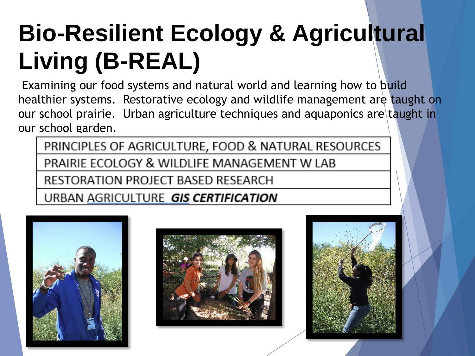## **Bio-Resilient Ecology & Agricultural Living (B-REAL)**

Examining our food systems and natural world and learning how to build healthier systems. Restorative ecology and wildlife management are taught on our school prairie. Urban agriculture techniques and aquaponics are taught in our school garden.

PRINCIPLES OF AGRICULTURE, FOOD & NATURAL RESOURCES PRAIRIE ECOLOGY & WILDLIFE MANAGEMENT W LAB RESTORATION PROJECT BASED RESEARCH

URBAN AGRICULTURE GIS CERTIFICATION





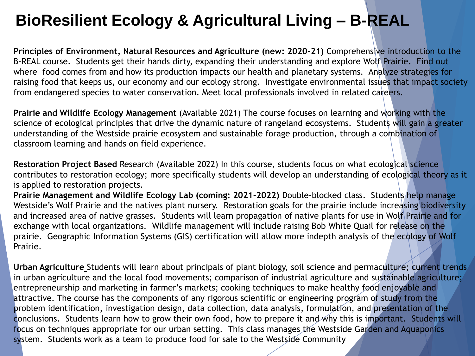#### **BioResilient Ecology & Agricultural Living – B-REAL**

**Principles of Environment, Natural Resources and Agriculture (new: 2020-21)** Comprehensive introduction to the B-REAL course. Students get their hands dirty, expanding their understanding and explore Wolf Prairie. Find out where food comes from and how its production impacts our health and planetary systems. Analyze strategies for raising food that keeps us, our economy and our ecology strong. Investigate environmental issues that impact society from endangered species to water conservation. Meet local professionals involved in related careers.

**Prairie and Wildlife Ecology Management** (Available 2021) The course focuses on learning and working with the science of ecological principles that drive the dynamic nature of rangeland ecosystems. Students will gain a greater understanding of the Westside prairie ecosystem and sustainable forage production, through a combination of classroom learning and hands on field experience.

**Restoration Project Based** Research (Available 2022) In this course, students focus on what ecological science contributes to restoration ecology; more specifically students will develop an understanding of ecological theory as it is applied to restoration projects.

**Prairie Management and Wildlife Ecology Lab (coming: 2021-2022)** Double-blocked class. Students help manage Westside's Wolf Prairie and the natives plant nursery. Restoration goals for the prairie include increasing biodiversity and increased area of native grasses. Students will learn propagation of native plants for use in Wolf Prairie and for exchange with local organizations. Wildlife management will include raising Bob White Quail for release on the prairie. Geographic Information Systems (GIS) certification will allow more indepth analysis of the ecology of Wolf Prairie.

**Urban Agriculture** Students will learn about principals of plant biology, soil science and permaculture; current trends in urban agriculture and the local food movements; comparison of industrial agriculture and sustainable agriculture; entrepreneurship and marketing in farmer's markets; cooking techniques to make healthy food enjoyable and attractive. The course has the components of any rigorous scientific or engineering program of study from the problem identification, investigation design, data collection, data analysis, formulation, and presentation of the conclusions. Students learn how to grow their own food, how to prepare it and why this is important. Students will focus on techniques appropriate for our urban setting. This class manages the Westside Garden and Aquaponics system. Students work as a team to produce food for sale to the Westside Community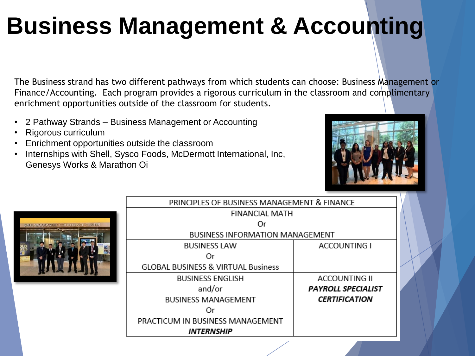### **Business Management & Accounting**

The Business strand has two different pathways from which students can choose: Business Management or Finance/Accounting. Each program provides a rigorous curriculum in the classroom and complimentary enrichment opportunities outside of the classroom for students.

- 2 Pathway Strands Business Management or Accounting
- Rigorous curriculum
- Enrichment opportunities outside the classroom
- Internships with Shell, Sysco Foods, McDermott International, Inc, Genesys Works & Marathon Oi





| PRINCIPLES OF BUSINESS MANAGEMENT & FINANCE   |                           |  |  |  |  |
|-----------------------------------------------|---------------------------|--|--|--|--|
| <b>FINANCIAL MATH</b>                         |                           |  |  |  |  |
| Οr                                            |                           |  |  |  |  |
| <b>BUSINESS INFORMATION MANAGEMENT</b>        |                           |  |  |  |  |
| <b>BUSINESS LAW</b>                           | <b>ACCOUNTING I</b>       |  |  |  |  |
| 0r                                            |                           |  |  |  |  |
| <b>GLOBAL BUSINESS &amp; VIRTUAL Business</b> |                           |  |  |  |  |
| <b>BUSINESS ENGLISH</b>                       | <b>ACCOUNTING II</b>      |  |  |  |  |
| and/or                                        | <b>PAYROLL SPECIALIST</b> |  |  |  |  |
| <b>BUSINESS MANAGEMENT</b>                    | <b>CERTIFICATION</b>      |  |  |  |  |
|                                               |                           |  |  |  |  |
| PRACTICUM IN BUSINESS MANAGEMENT              |                           |  |  |  |  |
| <b>INTERNSHIP</b>                             |                           |  |  |  |  |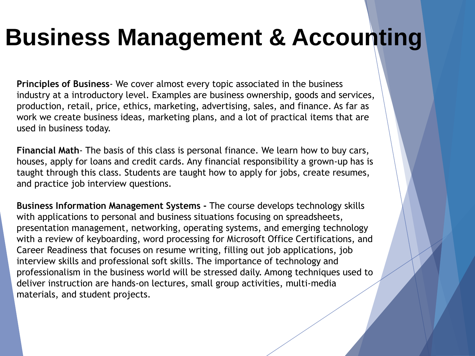#### **Business Management & Accounting**

**Principles of Business**- We cover almost every topic associated in the business industry at a introductory level. Examples are business ownership, goods and services, production, retail, price, ethics, marketing, advertising, sales, and finance. As far as work we create business ideas, marketing plans, and a lot of practical items that are used in business today.

**Financial Math**- The basis of this class is personal finance. We learn how to buy cars, houses, apply for loans and credit cards. Any financial responsibility a grown-up has is taught through this class. Students are taught how to apply for jobs, create resumes, and practice job interview questions.

**Business Information Management Systems -** The course develops technology skills with applications to personal and business situations focusing on spreadsheets, presentation management, networking, operating systems, and emerging technology with a review of keyboarding, word processing for Microsoft Office Certifications, and Career Readiness that focuses on resume writing, filling out job applications, job interview skills and professional soft skills. The importance of technology and professionalism in the business world will be stressed daily. Among techniques used to deliver instruction are hands-on lectures, small group activities, multi-media materials, and student projects.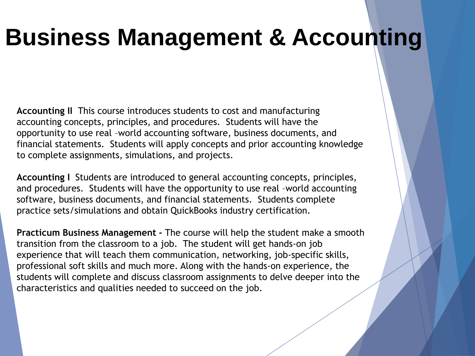#### **Business Management & Accounting**

**Accounting II** This course introduces students to cost and manufacturing accounting concepts, principles, and procedures. Students will have the opportunity to use real –world accounting software, business documents, and financial statements. Students will apply concepts and prior accounting knowledge to complete assignments, simulations, and projects.

**Accounting I** Students are introduced to general accounting concepts, principles, and procedures. Students will have the opportunity to use real –world accounting software, business documents, and financial statements. Students complete practice sets/simulations and obtain QuickBooks industry certification.

**Practicum Business Management -** The course will help the student make a smooth transition from the classroom to a job. The student will get hands-on job experience that will teach them communication, networking, job-specific skills, professional soft skills and much more. Along with the hands-on experience, the students will complete and discuss classroom assignments to delve deeper into the characteristics and qualities needed to succeed on the job.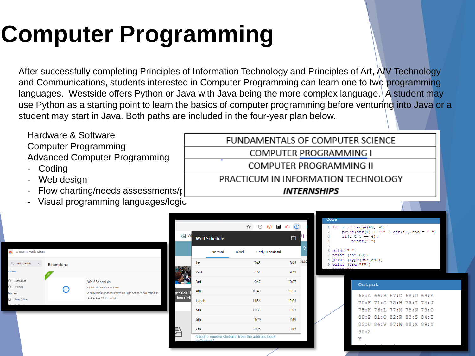## **Computer Programming**

After successfully completing Principles of Information Technology and Principles of Art, A/V Technology and Communications, students interested in Computer Programming can learn one to two programming languages. Westside offers Python or Java with Java being the more complex language. A student may use Python as a starting point to learn the basics of computer programming before venturing into Java or a student may start in Java. Both paths are included in the four-year plan below.

> FUNDAMENTALS OF COMPUTER SCIENCE COMPUTER PROGRAMMING I COMPUTER PROGRAMMING II

PRACTICUM IN INFORMATION TECHNOLOGY **INTERNSHIPS** 

Hardware & Software Computer Programming Advanced Computer Programming

- **Coding**
- Web design
- Flow charting/needs assessments/ $\mathfrak{r}$
- Visual programming languages/logic

| $\Omega$ | wolf schedule<br>$\times$ | <b>Extensions</b> |                                                             |  |  |  |
|----------|---------------------------|-------------------|-------------------------------------------------------------|--|--|--|
| « Home   |                           |                   |                                                             |  |  |  |
| O        | Extensions                |                   | <b>Wolf Schedule</b>                                        |  |  |  |
| O        | <b>Themes</b>             | 2                 | Offered by: Brennan Rouhana                                 |  |  |  |
|          | Features                  |                   | A convenient go-to for Westside High School's bell schedule |  |  |  |
| с        | Runs Offline              |                   | ★★★★★ 22 Productivity                                       |  |  |  |
|          |                           |                   |                                                             |  |  |  |

|                   |                                                              |        | ☆            | ⊚     | o<br>ଇ                 |       |      |
|-------------------|--------------------------------------------------------------|--------|--------------|-------|------------------------|-------|------|
| $\bigcirc$        | <b>Wolf Schedule</b>                                         |        |              |       |                        | п     | Ы    |
|                   |                                                              | Normal | <b>Block</b> |       | <b>Early Dismissal</b> |       |      |
|                   | 1st                                                          |        |              | 7:45  |                        | 8:45  | DLLO |
|                   | 2 <sub>nd</sub>                                              |        |              | 8:51  |                        | 9:41  |      |
|                   | 3rd                                                          |        |              | 9:47  |                        | 10:37 |      |
| <b>orthside</b> H | 4th                                                          |        |              | 10:43 |                        | 11:33 |      |
| rtners wit        | Lunch                                                        |        |              | 11:34 |                        | 12:24 |      |
|                   | 5th                                                          |        |              | 12:33 |                        | 1:23  |      |
|                   | 6th                                                          |        |              | 1:29  |                        | 2:19  |      |
|                   | 7th                                                          |        |              | 2:25  |                        | 3:15  |      |
|                   | Need to remove students from the address book<br>in Outlook? |        |              |       |                        |       |      |



#### Output

65:A 66:B 67:C 68:D 69:E 70:F 71:G 72:H 73:I 74:J 75:K 76:L 77:M 78:N 79:0 80:P 81:Q 82:R 83:S 84:T 85:U 86:V 87:W 88:X 89:Y  $90:7$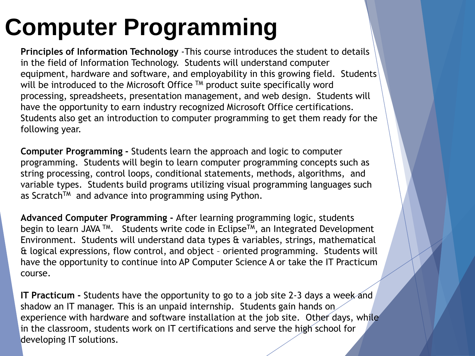## **Computer Programming**

**Principles of Information Technology** -This course introduces the student to details in the field of Information Technology. Students will understand computer equipment, hardware and software, and employability in this growing field. Students will be introduced to the Microsoft Office ™ product suite specifically word processing, spreadsheets, presentation management, and web design. Students will have the opportunity to earn industry recognized Microsoft Office certifications. Students also get an introduction to computer programming to get them ready for the following year.

**Computer Programming -** Students learn the approach and logic to computer programming. Students will begin to learn computer programming concepts such as string processing, control loops, conditional statements, methods, algorithms, and variable types. Students build programs utilizing visual programming languages such as Scratch<sup>TM</sup> and advance into programming using Python.

**Advanced Computer Programming -** After learning programming logic, students begin to learn JAVA<sup>™</sup>. Students write code in Eclipse<sup>™</sup>, an Integrated Development Environment. Students will understand data types & variables, strings, mathematical & logical expressions, flow control, and object – oriented programming. Students will have the opportunity to continue into AP Computer Science A or take the IT Practicum course.

**IT Practicum -** Students have the opportunity to go to a job site 2-3 days a week and shadow an IT manager. This is an unpaid internship. Students gain hands on experience with hardware and software installation at the job site. Other days, while in the classroom, students work on IT certifications and serve the high school for developing IT solutions.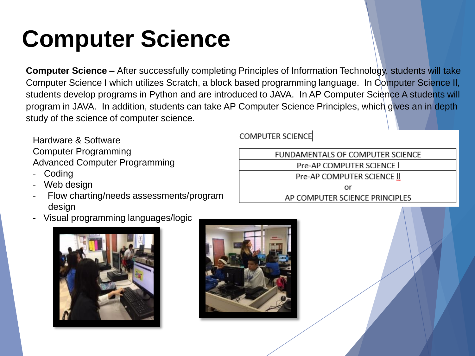### **Computer Science**

**Computer Science –** After successfully completing Principles of Information Technology, students will take Computer Science I which utilizes Scratch, a block based programming language. In Computer Science Il, students develop programs in Python and are introduced to JAVA. In AP Computer Science A students will program in JAVA. In addition, students can take AP Computer Science Principles, which gives an in depth study of the science of computer science.

Hardware & Software Computer Programming Advanced Computer Programming

- **Coding**
- Web design
- Flow charting/needs assessments/program design
- Visual programming languages/logic





**COMPUTER SCIENCE** 

FUNDAMENTALS OF COMPUTER SCIENCE Pre-AP COMPUTER SCIENCE I Pre-AP COMPUTER SCIENCE II or

AP COMPUTER SCIENCE PRINCIPLES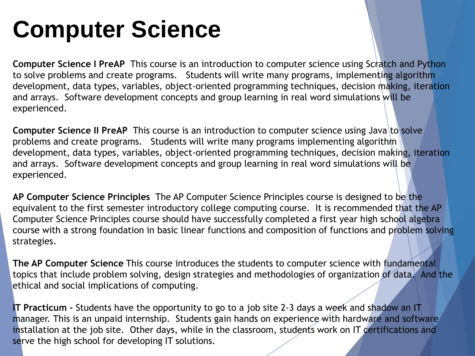#### **Computer Science**

**Computer Science I PreAP** This course is an introduction to computer science using Scratch and Python to solve problems and create programs. Students will write many programs, implementing algorithm development, data types, variables, object-oriented programming techniques, decision making, iteration and arrays. Software development concepts and group learning in real word simulations will be experienced.

**Computer Science II PreAP** This course is an introduction to computer science using Java to solve problems and create programs. Students will write many programs implementing algorithm development, data types, variables, object-oriented programming techniques, decision making, iteration and arrays. Software development concepts and group learning in real word simulations will be experienced.

**AP Computer Science Principles** The AP Computer Science Principles course is designed to be the equivalent to the first semester introductory college computing course. It is recommended that the AP Computer Science Principles course should have successfully completed a first year high school algebra course with a strong foundation in basic linear functions and composition of functions and problem solving strategies.

**The AP Computer Science** This course introduces the students to computer science with fundamental topics that include problem solving, design strategies and methodologies of organization of data. And the ethical and social implications of computing.

**IT Practicum -** Students have the opportunity to go to a job site 2-3 days a week and shadow an IT manager. This is an unpaid internship. Students gain hands on experience with hardware and software installation at the job site. Other days, while in the classroom, students work on IT certifications and serve the high school for developing IT solutions.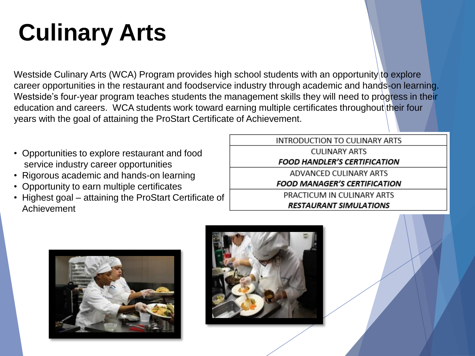## **Culinary Arts**

Westside Culinary Arts (WCA) Program provides high school students with an opportunity to explore career opportunities in the restaurant and foodservice industry through academic and hands-on learning. Westside's four-year program teaches students the management skills they will need to progress in their education and careers. WCA students work toward earning multiple certificates throughout their four years with the goal of attaining the ProStart Certificate of Achievement.

- Opportunities to explore restaurant and food service industry career opportunities
- Rigorous academic and hands-on learning
- Opportunity to earn multiple certificates
- Highest goal attaining the ProStart Certificate of Achievement

**INTRODUCTION TO CULINARY ARTS CULINARY ARTS FOOD HANDLER'S CERTIFICATION** ADVANCED CULINARY ARTS

**FOOD MANAGER'S CERTIFICATION** 

PRACTICUM IN CULINARY ARTS **RESTAURANT SIMULATIONS** 



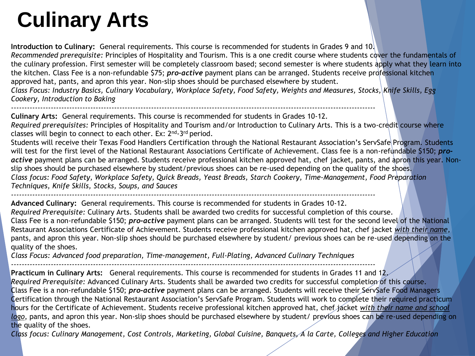#### **Culinary Arts**

**Introduction to Culinary:** General requirements. This course is recommended for students in Grades 9 and 10. *Recommended prerequisite:* Principles of Hospitality and Tourism. This is a one credit course where students cover the fundamentals of the culinary profession. First semester will be completely classroom based; second semester is where students apply what they learn into the kitchen. Class Fee is a non-refundable \$75; *pro-active* payment plans can be arranged. Students receive professional kitchen approved hat, pants, and apron this year. Non-slip shoes should be purchased elsewhere by student. *Class Focus: Industry Basics, Culinary Vocabulary, Workplace Safety, Food Safety, Weights and Measures, Stocks, Knife Skills, Egg Cookery, Introduction to Baking*

------------------------------------------------------------------------------------------------------------------------------------------ **Culinary Arts:** General requirements. This course is recommended for students in Grades 10-12.

*Required prerequisites:* Principles of Hospitality and Tourism and/or Introduction to Culinary Arts. This is a two-credit course where classes will begin to connect to each other. Ex: 2<sup>nd</sup>-3<sup>rd</sup> period.

Students will receive their Texas Food Handlers Certification through the National Restaurant Association's ServSafe Program. Students will test for the first level of the National Restaurant Associations Certificate of Achievement. Class fee is a non-refundable \$150; *pro*active payment plans can be arranged. Students receive professional kitchen approved hat, chef jacket, pants, and apron this year. Nonslip shoes should be purchased elsewhere by student/previous shoes can be re-used depending on the quality of the shoes. *Class focus: Food Safety, Workplace Safety, Quick Breads, Yeast Breads, Starch Cookery, Time-Management, Food Preparation Techniques, Knife Skills, Stocks, Soups, and Sauces*

*------------------------------------------------------------------------------------------------------------------------------------------* **Advanced Culinary:** General requirements. This course is recommended for students in Grades 10-12. *Required Prerequisite:* Culinary Arts. Students shall be awarded two credits for successful completion of this course. Class Fee is a non-refundable \$150; *pro-active* payment plans can be arranged. Students will test for the second level of the National Restaurant Associations Certificate of Achievement. Students receive professional kitchen approved hat, chef jacket *with their name*, pants, and apron this year. Non-slip shoes should be purchased elsewhere by student/ previous shoes can be re-used depending on the quality of the shoes.

*Class Focus: Advanced food preparation, Time-management, Full-Plating, Advanced Culinary Techniques*

*------------------------------------------------------------------------------------------------------------------------------------------* **Practicum in Culinary Arts:** General requirements. This course is recommended for students in Grades 11 and 12. *Required Prerequisite:* Advanced Culinary Arts. Students shall be awarded two credits for successful completion of this course. Class Fee is a non-refundable \$150; *pro-active* payment plans can be arranged. Students will receive their ServSafe Food Managers Certification through the National Restaurant Association's ServSafe Program. Students will work to complete their required practicum hours for the Certificate of Achievement. Students receive professional kitchen approved hat, chef jacket *with their name and school logo*, pants, and apron this year. Non-slip shoes should be purchased elsewhere by student/ previous shoes can be re-used depending on the quality of the shoes.

*Class focus: Culinary Management, Cost Controls, Marketing, Global Cuisine, Banquets, A la Carte, Colleges and Higher Education*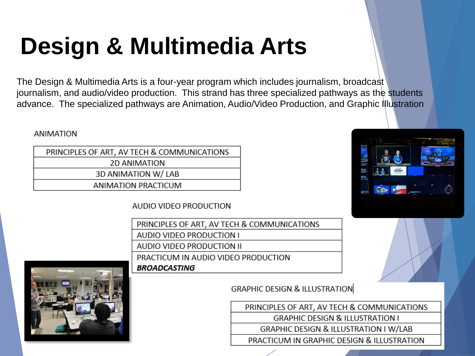### **Design & Multimedia Arts**

The Design & Multimedia Arts is a four-year program which includes journalism, broadcast journalism, and audio/video production. This strand has three specialized pathways as the students advance. The specialized pathways are Animation, Audio/Video Production, and Graphic Illustration

**ANIMATION** 

| PRINCIPLES OF ART, AV TECH & COMMUNICATIONS |
|---------------------------------------------|
| 2D ANIMATION                                |
| 3D ANIMATION W/ LAB                         |
| ANIMATION PRACTICUM                         |

AUDIO VIDEO PRODUCTION

PRINCIPLES OF ART, AV TECH & COMMUNICATIONS AUDIO VIDEO PRODUCTION I AUDIO VIDEO PRODUCTION II PRACTICUM IN AUDIO VIDEO PRODUCTION **BROADCASTING** 



**GRAPHIC DESIGN & ILLUSTRATION** 

PRINCIPLES OF ART, AV TECH & COMMUNICATIONS

**GRAPHIC DESIGN & ILLUSTRATION I** 

GRAPHIC DESIGN & ILLUSTRATION I W/LAB

PRACTICUM IN GRAPHIC DESIGN & ILLUSTRATION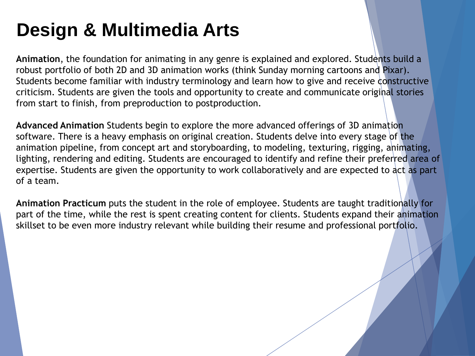#### **Design & Multimedia Arts**

**Animation**, the foundation for animating in any genre is explained and explored. Students build a robust portfolio of both 2D and 3D animation works (think Sunday morning cartoons and Pixar). Students become familiar with industry terminology and learn how to give and receive constructive criticism. Students are given the tools and opportunity to create and communicate original stories from start to finish, from preproduction to postproduction.

**Advanced Animation** Students begin to explore the more advanced offerings of 3D animation software. There is a heavy emphasis on original creation. Students delve into every stage of the animation pipeline, from concept art and storyboarding, to modeling, texturing, rigging, animating, lighting, rendering and editing. Students are encouraged to identify and refine their preferred area of expertise. Students are given the opportunity to work collaboratively and are expected to act as part of a team.

**Animation Practicum** puts the student in the role of employee. Students are taught traditionally for part of the time, while the rest is spent creating content for clients. Students expand their animation skillset to be even more industry relevant while building their resume and professional portfolio.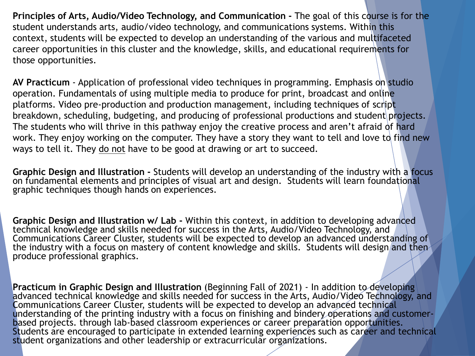**Principles of Arts, Audio/Video Technology, and Communication -** The goal of this course is for the student understands arts, audio/video technology, and communications systems. Within this context, students will be expected to develop an understanding of the various and multifaceted career opportunities in this cluster and the knowledge, skills, and educational requirements for those opportunities.

**AV Practicum** - Application of professional video techniques in programming. Emphasis on studio operation. Fundamentals of using multiple media to produce for print, broadcast and online platforms. Video pre-production and production management, including techniques of script breakdown, scheduling, budgeting, and producing of professional productions and student projects. The students who will thrive in this pathway enjoy the creative process and aren't afraid of hard work. They enjoy working on the computer. They have a story they want to tell and love to find new ways to tell it. They do not have to be good at drawing or art to succeed.

**Graphic Design and Illustration -** Students will develop an understanding of the industry with a focus on fundamental elements and principles of visual art and design. Students will learn foundational graphic techniques though hands on experiences.

**Graphic Design and Illustration w/ Lab -** Within this context, in addition to developing advanced technical knowledge and skills needed for success in the Arts, Audio/Video Technology, and Communications Career Cluster, students will be expected to develop an advanced understanding of the industry with a focus on mastery of content knowledge and skills. Students will design and then produce professional graphics.

**Practicum in Graphic Design and Illustration** (Beginning Fall of 2021) - In addition to developing advanced technical knowledge and skills needed for success in the Arts, Audio/Video Technology, and Communications Career Cluster, students will be expected to develop an advanced technical understanding of the printing industry with a focus on finishing and bindery operations and customerbased projects. through lab-based classroom experiences or career preparation opportunities. Students are encouraged to participate in extended learning experiences such as career and technical student organizations and other leadership or extracurricular organizations.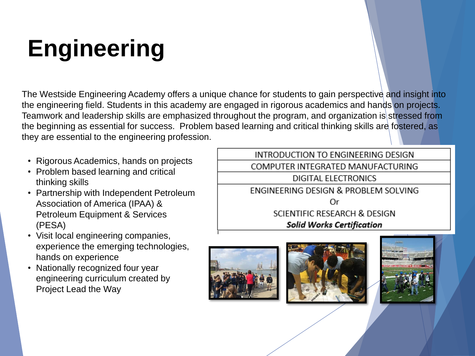## **Engineering**

The Westside Engineering Academy offers a unique chance for students to gain perspective and insight into the engineering field. Students in this academy are engaged in rigorous academics and hands on projects. Teamwork and leadership skills are emphasized throughout the program, and organization is stressed from the beginning as essential for success. Problem based learning and critical thinking skills are fostered, as they are essential to the engineering profession.

- Rigorous Academics, hands on projects
- Problem based learning and critical thinking skills
- Partnership with Independent Petroleum Association of America (IPAA) & Petroleum Equipment & Services (PESA)
- Visit local engineering companies, experience the emerging technologies, hands on experience
- Nationally recognized four year engineering curriculum created by Project Lead the Way

INTRODUCTION TO ENGINEERING DESIGN COMPUTER INTEGRATED MANUFACTURING DIGITAL ELECTRONICS ENGINEERING DESIGN & PROBLEM SOLVING Or SCIENTIFIC RESEARCH & DESIGN **Solid Works Certification** 





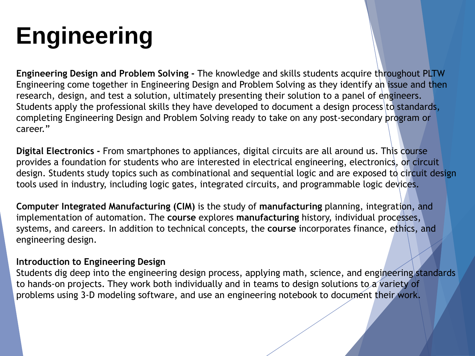## **Engineering**

**Engineering Design and Problem Solving -** The knowledge and skills students acquire throughout PLTW Engineering come together in Engineering Design and Problem Solving as they identify an issue and then research, design, and test a solution, ultimately presenting their solution to a panel of engineers. Students apply the professional skills they have developed to document a design process to standards, completing Engineering Design and Problem Solving ready to take on any post-secondary program or career."

**Digital Electronics -** From smartphones to appliances, digital circuits are all around us. This course provides a foundation for students who are interested in electrical engineering, electronics, or circuit design. Students study topics such as combinational and sequential logic and are exposed to circuit design tools used in industry, including logic gates, integrated circuits, and programmable logic devices.

**Computer Integrated Manufacturing (CIM)** is the study of **manufacturing** planning, integration, and implementation of automation. The **course** explores **manufacturing** history, individual processes, systems, and careers. In addition to technical concepts, the **course** incorporates finance, ethics, and engineering design.

#### **Introduction to Engineering Design**

Students dig deep into the engineering design process, applying math, science, and engineering standards to hands-on projects. They work both individually and in teams to design solutions to a variety of problems using 3-D modeling software, and use an engineering notebook to document their work.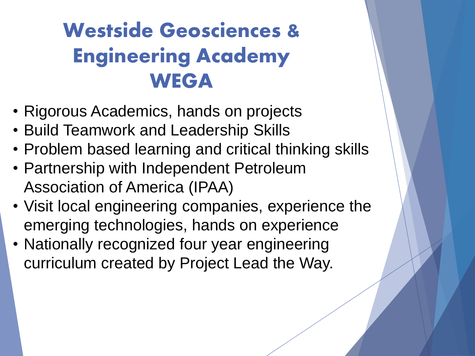#### Westside Geosciences & Engineering Academy **WEGA**

- Rigorous Academics, hands on projects
- Build Teamwork and Leadership Skills
- Problem based learning and critical thinking skills
- Partnership with Independent Petroleum Association of America (IPAA)
- Visit local engineering companies, experience the emerging technologies, hands on experience
- Nationally recognized four year engineering curriculum created by Project Lead the Way.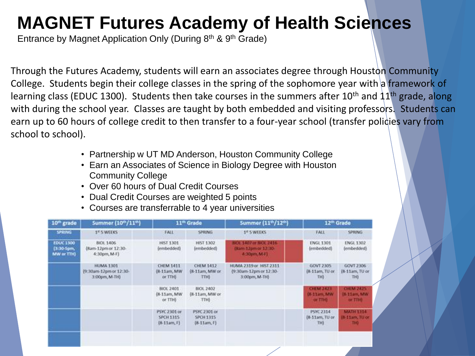#### **MAGNET Futures Academy of Health Sciences**

Entrance by Magnet Application Only (During 8<sup>th</sup> & 9<sup>th</sup> Grade)

Through the Futures Academy, students will earn an associates degree through Houston Community College. Students begin their college classes in the spring of the sophomore year with a framework of learning class (EDUC 1300). Students then take courses in the summers after 10<sup>th</sup> and  $11<sup>th</sup>$  grade, along with during the school year. Classes are taught by both embedded and visiting professors. Students can earn up to 60 hours of college credit to then transfer to a four-year school (transfer policies vary from school to school).

- Partnership w UT MD Anderson, Houston Community College
- Earn an Associates of Science in Biology Degree with Houston Community College
- Over 60 hours of Dual Credit Courses
- Dual Credit Courses are weighted 5 points
- Courses are transferrable to 4 year universities

| 10 <sup>th</sup> grade                       | Summer (10th/11th)                                          | 11 <sup>th</sup> Grade                                  |                                                                   | Summer (11th/12th)                                                 | 12 <sup>th</sup> Grade                          |                                                   |  |
|----------------------------------------------|-------------------------------------------------------------|---------------------------------------------------------|-------------------------------------------------------------------|--------------------------------------------------------------------|-------------------------------------------------|---------------------------------------------------|--|
| SPRING.                                      | 1 <sup>st</sup> 5 WEEKS                                     | <b>FALL</b>                                             | <b>SPRING</b>                                                     | 1 <sup>0</sup> S WEEKS                                             | <b>FALL</b>                                     | <b>SPRING</b>                                     |  |
| <b>EDUC 1300</b><br>[3:30-5pm,<br>MW or TTH) | BIOL 1406<br>(Ram-12pm or 12:30-<br>4:30pm, M-F)            | HIST 1301<br>(embedded)                                 | HIST 1302<br>(embedded)                                           | <b>HKX 1407 or BKX 2416</b><br>(Sam-12pm or 12:30-<br>4:30pm, M-F1 | <b>ENGL 1301</b><br>(embedded)                  | ENGL 1302<br>(embedded).                          |  |
|                                              | <b>HUMA 1301</b><br>(9:30am-12pm or 12:30-<br>3:00pm, M-TH) | <b>CHEM 1411</b><br>(8-11am, MW)<br>or TTH <sub>0</sub> | <b>CHEM 1412</b><br>(8-11am, MW or<br>T <sub>D</sub> <sub>0</sub> | HUMA 2319 or HIST 2311<br>(9:30am-12pm or 12:30-<br>3:00pm, M-TH)  | GOVT 2305<br>[8-11am, TU or<br>THE <sub>1</sub> | GOVT 2306<br>(8-11am, TU or<br>THE                |  |
|                                              |                                                             | BIOL 2401<br>(8-11am, MW)<br>or TTH)                    | BIOL 2402<br>(8-11am, MW or<br>TTHE:                              |                                                                    | <b>CHEM 2421</b><br>(8-11am, MW<br>or The       | <b>CHEM 2425</b><br>08-11am, MW<br><b>OF TIME</b> |  |
|                                              |                                                             | PSYC 2301 or<br><b>SPCH 1315</b><br>$(8-11am, F)$       | PSYC 2301 or<br>SPCH 1315<br>$(8-11am, F)$                        |                                                                    | PSYC 2314<br>(8-11am, TU or<br>TH)              | <b>MATH 1314</b><br>8-11am, TU or<br><b>DQ</b>    |  |
|                                              |                                                             |                                                         |                                                                   | ╭                                                                  |                                                 |                                                   |  |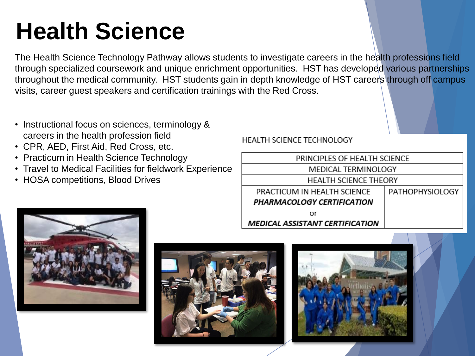### **Health Science**

The Health Science Technology Pathway allows students to investigate careers in the health professions field through specialized coursework and unique enrichment opportunities. HST has developed various partnerships throughout the medical community. HST students gain in depth knowledge of HST careers through off campus visits, career guest speakers and certification trainings with the Red Cross.

- Instructional focus on sciences, terminology & careers in the health profession field
- CPR, AED, First Aid, Red Cross, etc.
- Practicum in Health Science Technology
- Travel to Medical Facilities for fieldwork Experience
- HOSA competitions, Blood Drives

#### **HEALTH SCIENCE TECHNOLOGY**



**MEDICAL ASSISTANT CERTIFICATION** 





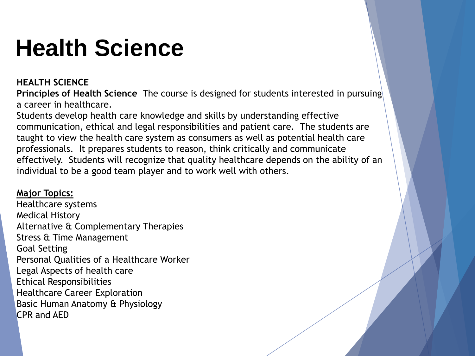### **Health Science**

#### **HEALTH SCIENCE**

**Principles of Health Science** The course is designed for students interested in pursuing a career in healthcare.

Students develop health care knowledge and skills by understanding effective communication, ethical and legal responsibilities and patient care. The students are taught to view the health care system as consumers as well as potential health care professionals. It prepares students to reason, think critically and communicate effectively. Students will recognize that quality healthcare depends on the ability of an individual to be a good team player and to work well with others.

#### **Major Topics:**

Healthcare systems Medical History Alternative & Complementary Therapies Stress & Time Management Goal Setting Personal Qualities of a Healthcare Worker Legal Aspects of health care Ethical Responsibilities Healthcare Career Exploration Basic Human Anatomy & Physiology CPR and AED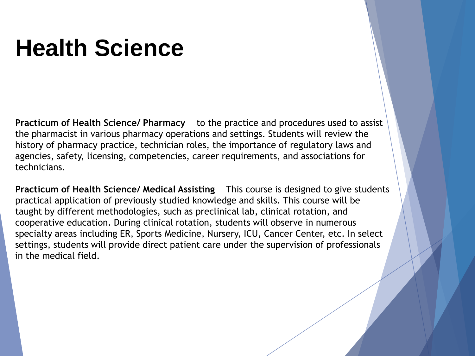#### **Health Science**

**Practicum of Health Science/ Pharmacy** to the practice and procedures used to assist the pharmacist in various pharmacy operations and settings. Students will review the history of pharmacy practice, technician roles, the importance of regulatory laws and agencies, safety, licensing, competencies, career requirements, and associations for technicians.

**Practicum of Health Science/ Medical Assisting** This course is designed to give students practical application of previously studied knowledge and skills. This course will be taught by different methodologies, such as preclinical lab, clinical rotation, and cooperative education. During clinical rotation, students will observe in numerous specialty areas including ER, Sports Medicine, Nursery, ICU, Cancer Center, etc. In select settings, students will provide direct patient care under the supervision of professionals in the medical field.